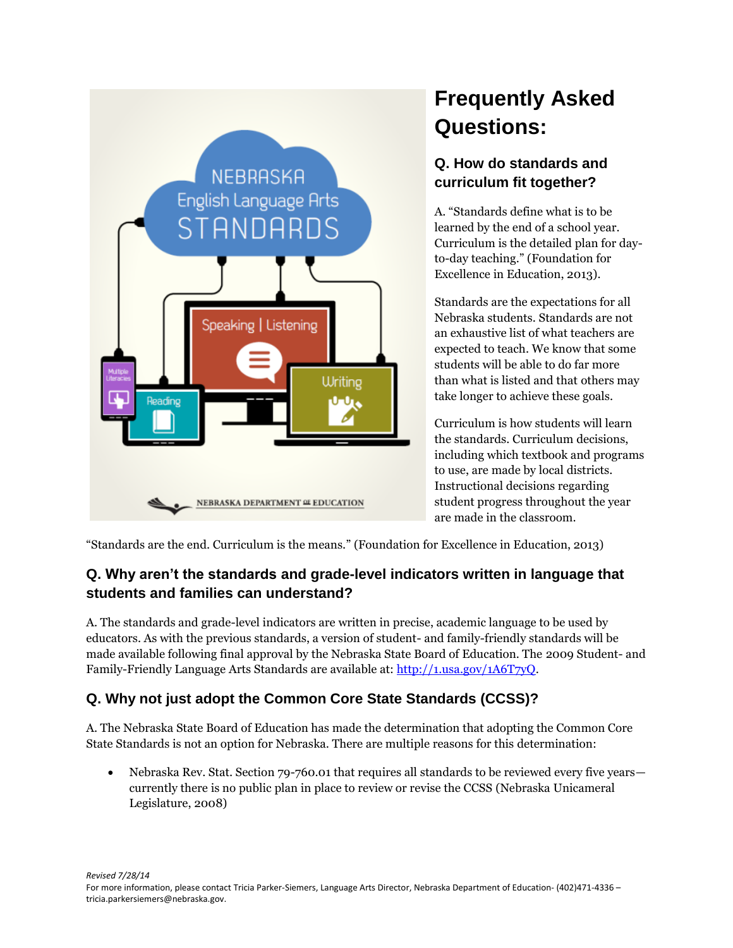

# **Frequently Asked Questions:**

## **Q. How do standards and curriculum fit together?**

A. "Standards define what is to be learned by the end of a school year. Curriculum is the detailed plan for dayto-day teaching." (Foundation for Excellence in Education, 2013).

Standards are the expectations for all Nebraska students. Standards are not an exhaustive list of what teachers are expected to teach. We know that some students will be able to do far more than what is listed and that others may take longer to achieve these goals.

Curriculum is how students will learn the standards. Curriculum decisions, including which textbook and programs to use, are made by local districts. Instructional decisions regarding student progress throughout the year are made in the classroom.

"Standards are the end. Curriculum is the means." (Foundation for Excellence in Education, 2013)

#### **Q. Why aren't the standards and grade-level indicators written in language that students and families can understand?**

A. The standards and grade-level indicators are written in precise, academic language to be used by educators. As with the previous standards, a version of student- and family-friendly standards will be made available following final approval by the Nebraska State Board of Education. The 2009 Student- and Family-Friendly Language Arts Standards are available at[: http://1.usa.gov/1A6T7yQ.](http://1.usa.gov/1A6T7yQ)

# **Q. Why not just adopt the Common Core State Standards (CCSS)?**

A. The Nebraska State Board of Education has made the determination that adopting the Common Core State Standards is not an option for Nebraska. There are multiple reasons for this determination:

• Nebraska Rev. Stat. Section 79-760.01 that requires all standards to be reviewed every five years currently there is no public plan in place to review or revise the CCSS (Nebraska Unicameral Legislature, 2008)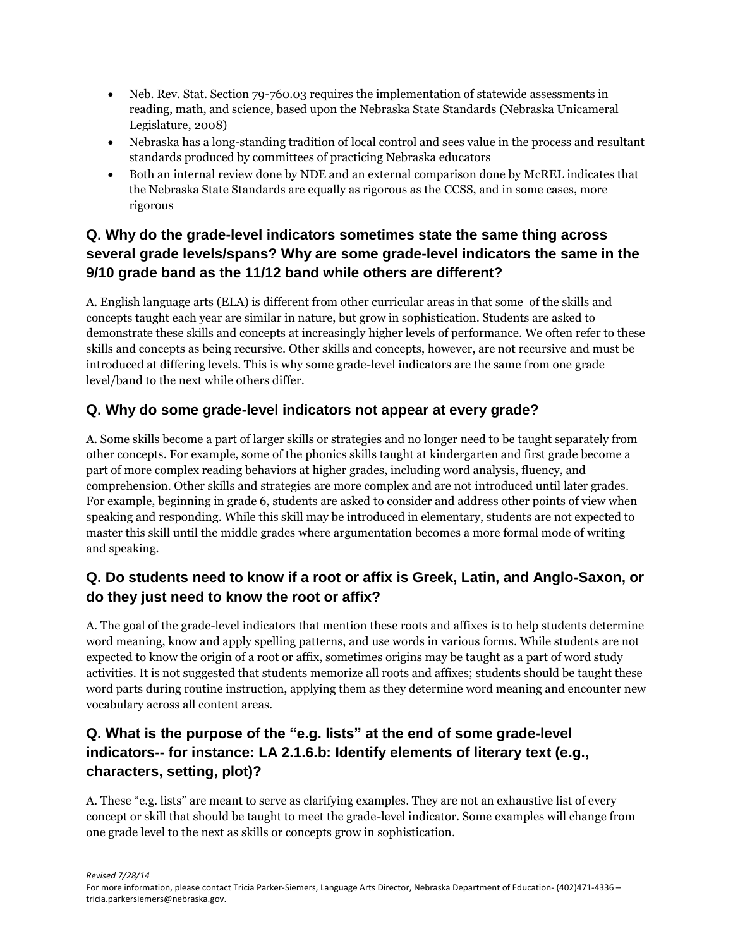- Neb. Rev. Stat. Section 79-760.03 requires the implementation of statewide assessments in reading, math, and science, based upon the Nebraska State Standards (Nebraska Unicameral Legislature, 2008)
- Nebraska has a long-standing tradition of local control and sees value in the process and resultant standards produced by committees of practicing Nebraska educators
- Both an internal review done by NDE and an external comparison done by McREL indicates that the Nebraska State Standards are equally as rigorous as the CCSS, and in some cases, more rigorous

#### **Q. Why do the grade-level indicators sometimes state the same thing across several grade levels/spans? Why are some grade-level indicators the same in the 9/10 grade band as the 11/12 band while others are different?**

A. English language arts (ELA) is different from other curricular areas in that some of the skills and concepts taught each year are similar in nature, but grow in sophistication. Students are asked to demonstrate these skills and concepts at increasingly higher levels of performance. We often refer to these skills and concepts as being recursive. Other skills and concepts, however, are not recursive and must be introduced at differing levels. This is why some grade-level indicators are the same from one grade level/band to the next while others differ.

# **Q. Why do some grade-level indicators not appear at every grade?**

A. Some skills become a part of larger skills or strategies and no longer need to be taught separately from other concepts. For example, some of the phonics skills taught at kindergarten and first grade become a part of more complex reading behaviors at higher grades, including word analysis, fluency, and comprehension. Other skills and strategies are more complex and are not introduced until later grades. For example, beginning in grade 6, students are asked to consider and address other points of view when speaking and responding. While this skill may be introduced in elementary, students are not expected to master this skill until the middle grades where argumentation becomes a more formal mode of writing and speaking.

# **Q. Do students need to know if a root or affix is Greek, Latin, and Anglo-Saxon, or do they just need to know the root or affix?**

A. The goal of the grade-level indicators that mention these roots and affixes is to help students determine word meaning, know and apply spelling patterns, and use words in various forms. While students are not expected to know the origin of a root or affix, sometimes origins may be taught as a part of word study activities. It is not suggested that students memorize all roots and affixes; students should be taught these word parts during routine instruction, applying them as they determine word meaning and encounter new vocabulary across all content areas.

# **Q. What is the purpose of the "e.g. lists" at the end of some grade-level indicators-- for instance: LA 2.1.6.b: Identify elements of literary text (e.g., characters, setting, plot)?**

A. These "e.g. lists" are meant to serve as clarifying examples. They are not an exhaustive list of every concept or skill that should be taught to meet the grade-level indicator. Some examples will change from one grade level to the next as skills or concepts grow in sophistication.

*Revised 7/28/14*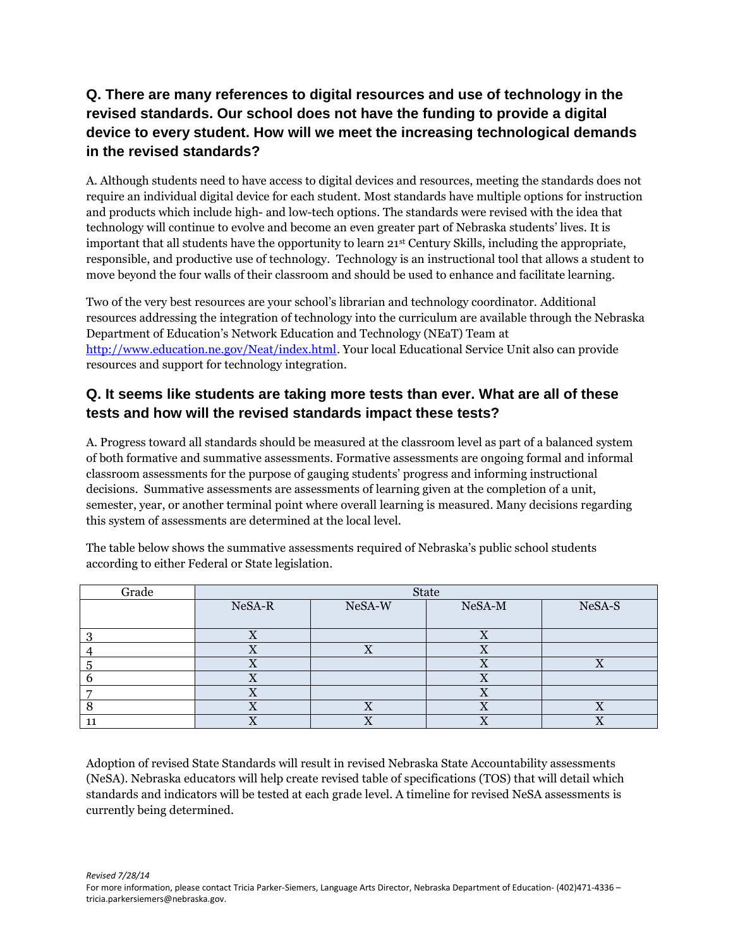# **Q. There are many references to digital resources and use of technology in the revised standards. Our school does not have the funding to provide a digital device to every student. How will we meet the increasing technological demands in the revised standards?**

A. Although students need to have access to digital devices and resources, meeting the standards does not require an individual digital device for each student. Most standards have multiple options for instruction and products which include high- and low-tech options. The standards were revised with the idea that technology will continue to evolve and become an even greater part of Nebraska students' lives. It is important that all students have the opportunity to learn 21st Century Skills, including the appropriate, responsible, and productive use of technology. Technology is an instructional tool that allows a student to move beyond the four walls of their classroom and should be used to enhance and facilitate learning.

Two of the very best resources are your school's librarian and technology coordinator. Additional resources addressing the integration of technology into the curriculum are available through the Nebraska Department of Education's Network Education and Technology (NEaT) Team at [http://www.education.ne.gov/Neat/index.html.](http://www.education.ne.gov/Neat/index.html) Your local Educational Service Unit also can provide resources and support for technology integration.

#### **Q. It seems like students are taking more tests than ever. What are all of these tests and how will the revised standards impact these tests?**

A. Progress toward all standards should be measured at the classroom level as part of a balanced system of both formative and summative assessments. Formative assessments are ongoing formal and informal classroom assessments for the purpose of gauging students' progress and informing instructional decisions. Summative assessments are assessments of learning given at the completion of a unit, semester, year, or another terminal point where overall learning is measured. Many decisions regarding this system of assessments are determined at the local level.

| Grade | <b>State</b> |        |           |        |
|-------|--------------|--------|-----------|--------|
|       | NeSA-R       | NeSA-W | NeSA-M    | NeSA-S |
|       |              |        |           |        |
|       |              |        |           |        |
|       |              |        | ∡⊾        |        |
|       |              |        |           |        |
|       |              |        |           |        |
|       | $\Lambda$    |        | $\Lambda$ |        |
|       |              |        |           |        |
|       |              |        |           |        |

The table below shows the summative assessments required of Nebraska's public school students according to either Federal or State legislation.

Adoption of revised State Standards will result in revised Nebraska State Accountability assessments (NeSA). Nebraska educators will help create revised table of specifications (TOS) that will detail which standards and indicators will be tested at each grade level. A timeline for revised NeSA assessments is currently being determined.